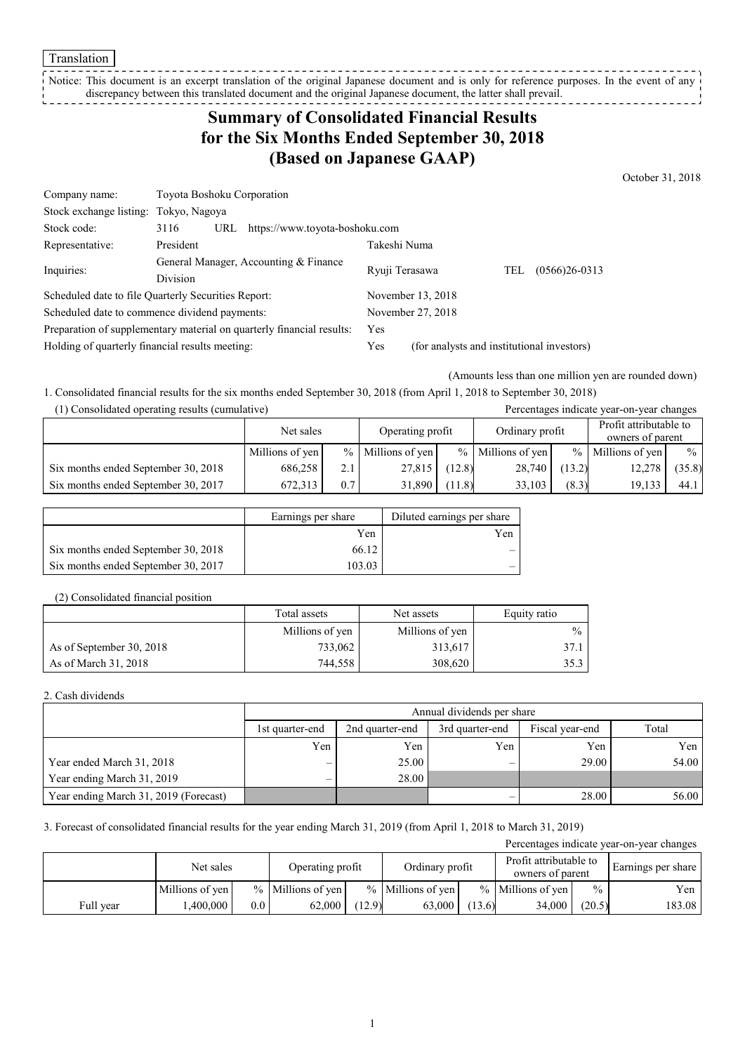Translation

Notice: This document is an excerpt translation of the original Japanese document and is only for reference purposes. In the event of any discrepancy between this translated document and the original Japanese document, the latter shall prevail.

# **Summary of Consolidated Financial Results for the Six Months Ended September 30, 2018 (Based on Japanese GAAP)**

October 31, 2018

| Company name:                                                         | Toyota Boshoku Corporation                               |                                       |                                            |                   |     |                   |
|-----------------------------------------------------------------------|----------------------------------------------------------|---------------------------------------|--------------------------------------------|-------------------|-----|-------------------|
| Stock exchange listing: Tokyo, Nagoya                                 |                                                          |                                       |                                            |                   |     |                   |
| Stock code:                                                           | 3116                                                     | https://www.toyota-boshoku.com<br>URL |                                            |                   |     |                   |
| Representative:                                                       | President                                                |                                       | Takeshi Numa                               |                   |     |                   |
| Inquiries:                                                            | General Manager, Accounting & Finance<br><b>Division</b> |                                       | Ryuji Terasawa                             |                   | TEL | $(0566)26 - 0313$ |
|                                                                       |                                                          |                                       |                                            |                   |     |                   |
| Scheduled date to file Quarterly Securities Report:                   |                                                          |                                       |                                            | November 13, 2018 |     |                   |
| Scheduled date to commence dividend payments:                         |                                                          |                                       | November 27, 2018                          |                   |     |                   |
| Preparation of supplementary material on quarterly financial results: |                                                          | Yes                                   |                                            |                   |     |                   |
| Holding of quarterly financial results meeting:                       |                                                          | Yes                                   | (for analysts and institutional investors) |                   |     |                   |

(Amounts less than one million yen are rounded down)

1. Consolidated financial results for the six months ended September 30, 2018 (from April 1, 2018 to September 30, 2018)

| (1) Consolidated operating results (cumulative) |  |  |
|-------------------------------------------------|--|--|
|-------------------------------------------------|--|--|

| (1) Consolidated operating results (cumulative) |                 |     |                     |        |                     |        | Percentages indicate year-on-year changes  |               |
|-------------------------------------------------|-----------------|-----|---------------------|--------|---------------------|--------|--------------------------------------------|---------------|
|                                                 | Net sales       |     | Operating profit    |        | Ordinary profit     |        | Profit attributable to<br>owners of parent |               |
|                                                 | Millions of yen |     | $%$ Millions of yen |        | $%$ Millions of yen |        | $%$ Millions of yen                        | $\frac{0}{0}$ |
| Six months ended September 30, 2018             | 686.258         | 2.1 | 27,815              | (12.8) | 28,740              | (13.2) | 12,278                                     | (35.8)        |
| Six months ended September 30, 2017             | 672.313         | 0.7 | 31.890              | (11.8) | 33.103              | (8.3)  | 19.133                                     | 44.1          |

|                                     | Earnings per share | Diluted earnings per share |
|-------------------------------------|--------------------|----------------------------|
|                                     | Yen                | Yen                        |
| Six months ended September 30, 2018 | 66.12              |                            |
| Six months ended September 30, 2017 | 103.03             |                            |

#### (2) Consolidated financial position

|                          | Total assets    | Net assets      | Equity ratio  |
|--------------------------|-----------------|-----------------|---------------|
|                          | Millions of yen | Millions of yen | $\frac{0}{0}$ |
| As of September 30, 2018 | 733,062         | 313,617         | 37.1          |
| As of March 31, 2018     | 744,558         | 308,620         | 35.3          |

#### 2. Cash dividends

|                                       | Annual dividends per share |                                                       |     |       |       |  |  |
|---------------------------------------|----------------------------|-------------------------------------------------------|-----|-------|-------|--|--|
|                                       | 1st quarter-end            | 3rd quarter-end<br>2nd quarter-end<br>Fiscal year-end |     |       |       |  |  |
|                                       | Yen                        | Yen                                                   | Yen | Yen   | Yen 1 |  |  |
| Year ended March 31, 2018             |                            | 25.00                                                 |     | 29.00 | 54.00 |  |  |
| Year ending March 31, 2019            |                            | 28.00                                                 |     |       |       |  |  |
| Year ending March 31, 2019 (Forecast) |                            |                                                       |     | 28.00 | 56.00 |  |  |

3. Forecast of consolidated financial results for the year ending March 31, 2019 (from April 1, 2018 to March 31, 2019)

| Percentages indicate year-on-year changes |                 |         |                      |        |                     |        |                                            |               |                    |
|-------------------------------------------|-----------------|---------|----------------------|--------|---------------------|--------|--------------------------------------------|---------------|--------------------|
|                                           | Net sales       |         | Operating profit     |        | Ordinary profit     |        | Profit attributable to<br>owners of parent |               | Earnings per share |
|                                           | Millions of yen |         | $\%$ Millions of yen |        | $%$ Millions of yen |        | $%$ Millions of yen                        | $\frac{0}{0}$ | Yen                |
| Full year                                 | .400.000        | $0.0\,$ | 62,000               | (12.9) | 63,000              | (13.6) | 34.000                                     | (20.5)        | 183.08             |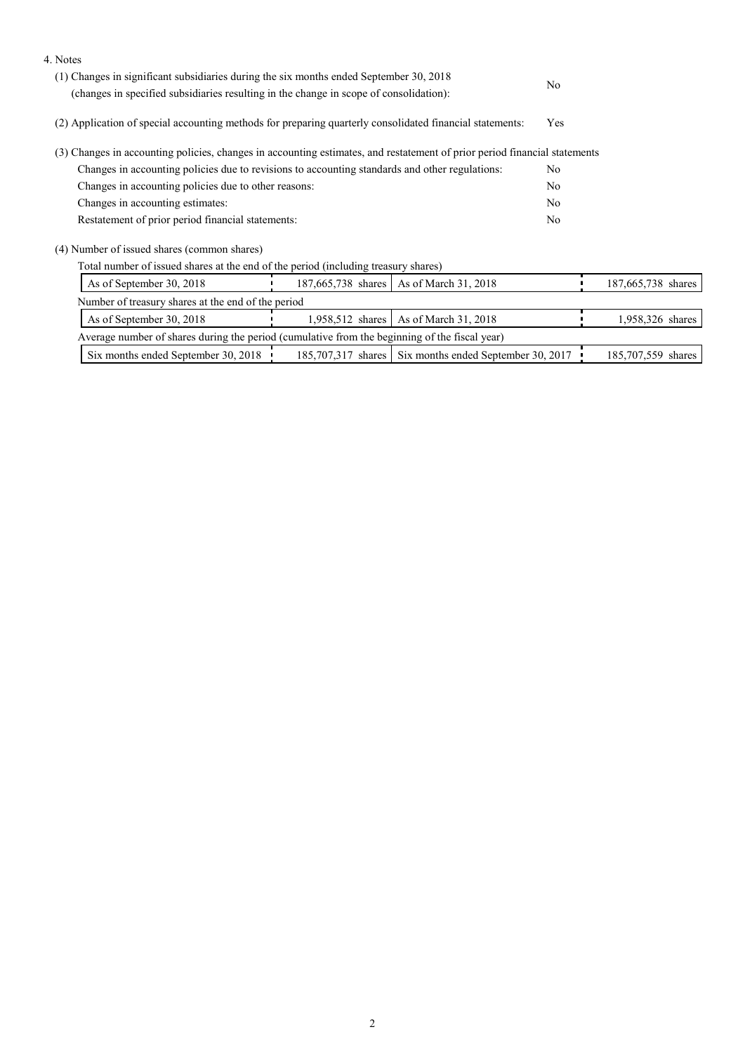| 4. Notes                                                                                                                  |  |                                                        |                |                    |
|---------------------------------------------------------------------------------------------------------------------------|--|--------------------------------------------------------|----------------|--------------------|
| (1) Changes in significant subsidiaries during the six months ended September 30, 2018                                    |  |                                                        | N <sub>0</sub> |                    |
| (changes in specified subsidiaries resulting in the change in scope of consolidation):                                    |  |                                                        |                |                    |
| (2) Application of special accounting methods for preparing quarterly consolidated financial statements:                  |  |                                                        |                |                    |
| (3) Changes in accounting policies, changes in accounting estimates, and restatement of prior period financial statements |  |                                                        |                |                    |
| Changes in accounting policies due to revisions to accounting standards and other regulations:                            |  |                                                        | No.            |                    |
| Changes in accounting policies due to other reasons:                                                                      |  |                                                        | N <sub>0</sub> |                    |
| Changes in accounting estimates:                                                                                          |  |                                                        | No             |                    |
| Restatement of prior period financial statements:                                                                         |  |                                                        | No             |                    |
| (4) Number of issued shares (common shares)                                                                               |  |                                                        |                |                    |
| Total number of issued shares at the end of the period (including treasury shares)                                        |  |                                                        |                |                    |
| As of September 30, 2018                                                                                                  |  | 187,665,738 shares   As of March 31, 2018              |                | 187,665,738 shares |
| Number of treasury shares at the end of the period                                                                        |  |                                                        |                |                    |
| As of September 30, 2018                                                                                                  |  | 1,958,512 shares   As of March 31, 2018                |                | 1,958,326 shares   |
| Average number of shares during the period (cumulative from the beginning of the fiscal year)                             |  |                                                        |                |                    |
| Six months ended September 30, 2018                                                                                       |  | 185,707,317 shares Six months ended September 30, 2017 |                | 185,707,559 shares |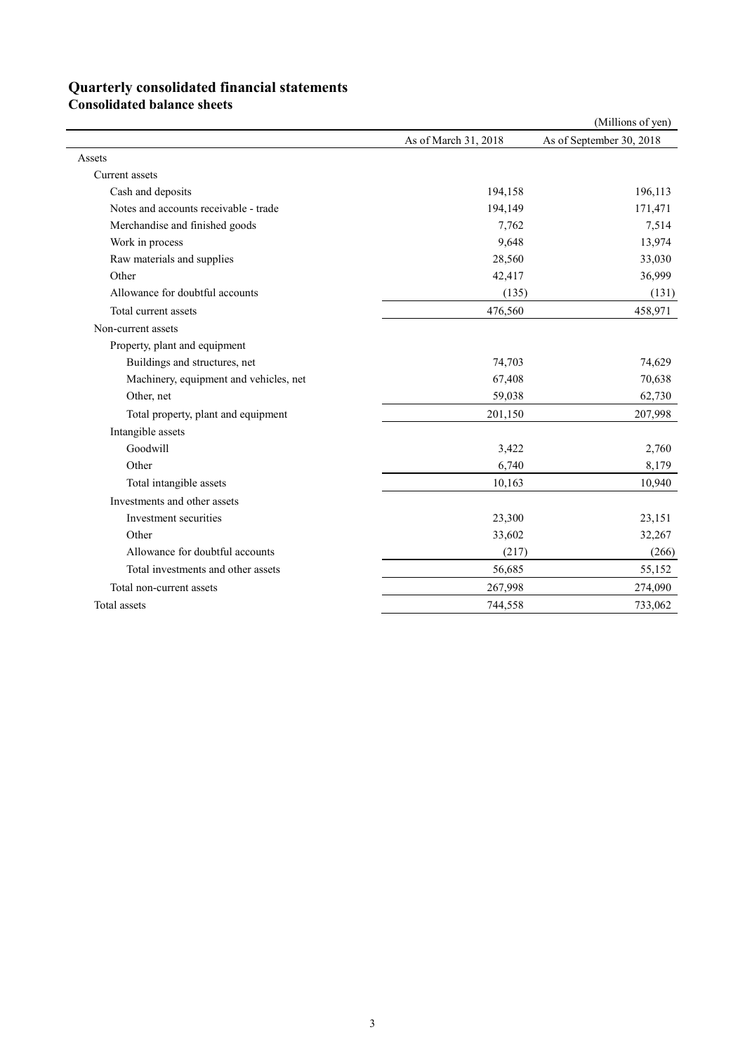## **Quarterly consolidated financial statements**

**Consolidated balance sheets** 

|                                        |                      | (Millions of yen)        |
|----------------------------------------|----------------------|--------------------------|
|                                        | As of March 31, 2018 | As of September 30, 2018 |
| Assets                                 |                      |                          |
| Current assets                         |                      |                          |
| Cash and deposits                      | 194,158              | 196,113                  |
| Notes and accounts receivable - trade  | 194,149              | 171,471                  |
| Merchandise and finished goods         | 7,762                | 7,514                    |
| Work in process                        | 9,648                | 13,974                   |
| Raw materials and supplies             | 28,560               | 33,030                   |
| Other                                  | 42,417               | 36,999                   |
| Allowance for doubtful accounts        | (135)                | (131)                    |
| Total current assets                   | 476,560              | 458,971                  |
| Non-current assets                     |                      |                          |
| Property, plant and equipment          |                      |                          |
| Buildings and structures, net          | 74,703               | 74,629                   |
| Machinery, equipment and vehicles, net | 67,408               | 70,638                   |
| Other, net                             | 59,038               | 62,730                   |
| Total property, plant and equipment    | 201,150              | 207,998                  |
| Intangible assets                      |                      |                          |
| Goodwill                               | 3,422                | 2,760                    |
| Other                                  | 6,740                | 8,179                    |
| Total intangible assets                | 10,163               | 10,940                   |
| Investments and other assets           |                      |                          |
| Investment securities                  | 23,300               | 23,151                   |
| Other                                  | 33,602               | 32,267                   |
| Allowance for doubtful accounts        | (217)                | (266)                    |
| Total investments and other assets     | 56,685               | 55,152                   |
| Total non-current assets               | 267,998              | 274,090                  |
| Total assets                           | 744,558              | 733,062                  |
|                                        |                      |                          |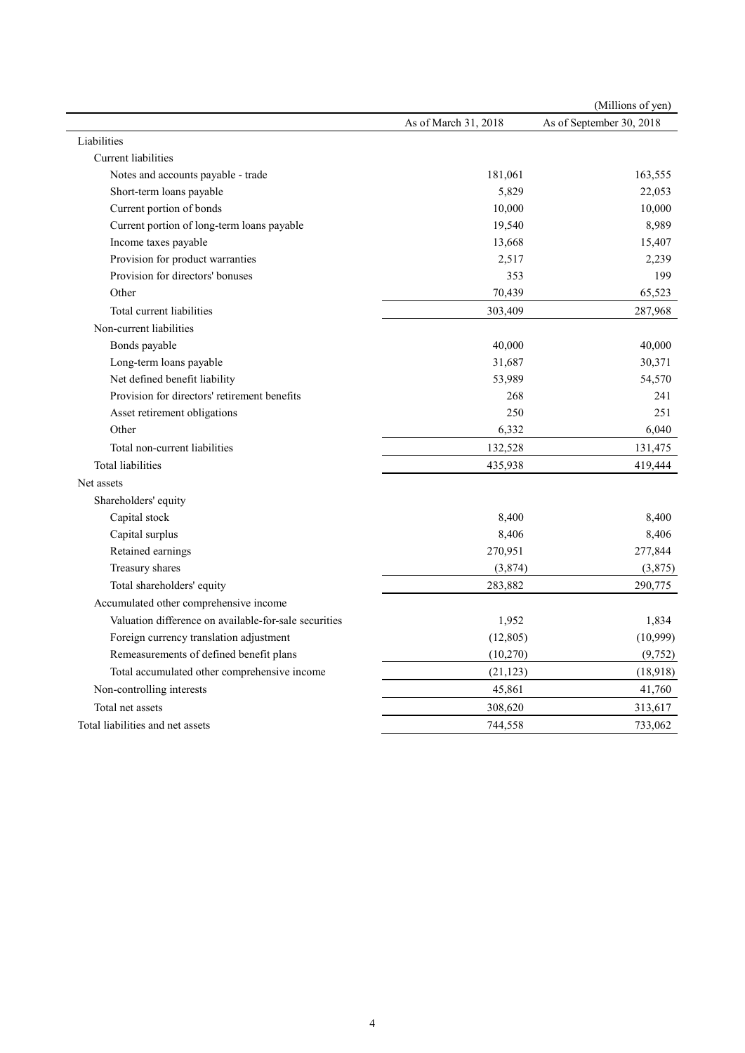|                                                       |                      | (Millions of yen)        |
|-------------------------------------------------------|----------------------|--------------------------|
|                                                       | As of March 31, 2018 | As of September 30, 2018 |
| Liabilities                                           |                      |                          |
| Current liabilities                                   |                      |                          |
| Notes and accounts payable - trade                    | 181,061              | 163,555                  |
| Short-term loans payable                              | 5,829                | 22,053                   |
| Current portion of bonds                              | 10,000               | 10,000                   |
| Current portion of long-term loans payable            | 19,540               | 8,989                    |
| Income taxes payable                                  | 13,668               | 15,407                   |
| Provision for product warranties                      | 2,517                | 2,239                    |
| Provision for directors' bonuses                      | 353                  | 199                      |
| Other                                                 | 70,439               | 65,523                   |
| Total current liabilities                             | 303,409              | 287,968                  |
| Non-current liabilities                               |                      |                          |
| Bonds payable                                         | 40,000               | 40,000                   |
| Long-term loans payable                               | 31,687               | 30,371                   |
| Net defined benefit liability                         | 53,989               | 54,570                   |
| Provision for directors' retirement benefits          | 268                  | 241                      |
| Asset retirement obligations                          | 250                  | 251                      |
| Other                                                 | 6,332                | 6,040                    |
| Total non-current liabilities                         | 132,528              | 131,475                  |
| Total liabilities                                     | 435,938              | 419,444                  |
| Net assets                                            |                      |                          |
| Shareholders' equity                                  |                      |                          |
| Capital stock                                         | 8,400                | 8,400                    |
| Capital surplus                                       | 8,406                | 8,406                    |
| Retained earnings                                     | 270,951              | 277,844                  |
| Treasury shares                                       | (3,874)              | (3,875)                  |
| Total shareholders' equity                            | 283,882              | 290,775                  |
| Accumulated other comprehensive income                |                      |                          |
| Valuation difference on available-for-sale securities | 1,952                | 1,834                    |
| Foreign currency translation adjustment               | (12, 805)            | (10,999)                 |
| Remeasurements of defined benefit plans               | (10,270)             | (9, 752)                 |
| Total accumulated other comprehensive income          | (21, 123)            | (18,918)                 |
| Non-controlling interests                             | 45,861               | 41,760                   |
| Total net assets                                      | 308,620              | 313,617                  |
| Total liabilities and net assets                      | 744,558              | 733,062                  |
|                                                       |                      |                          |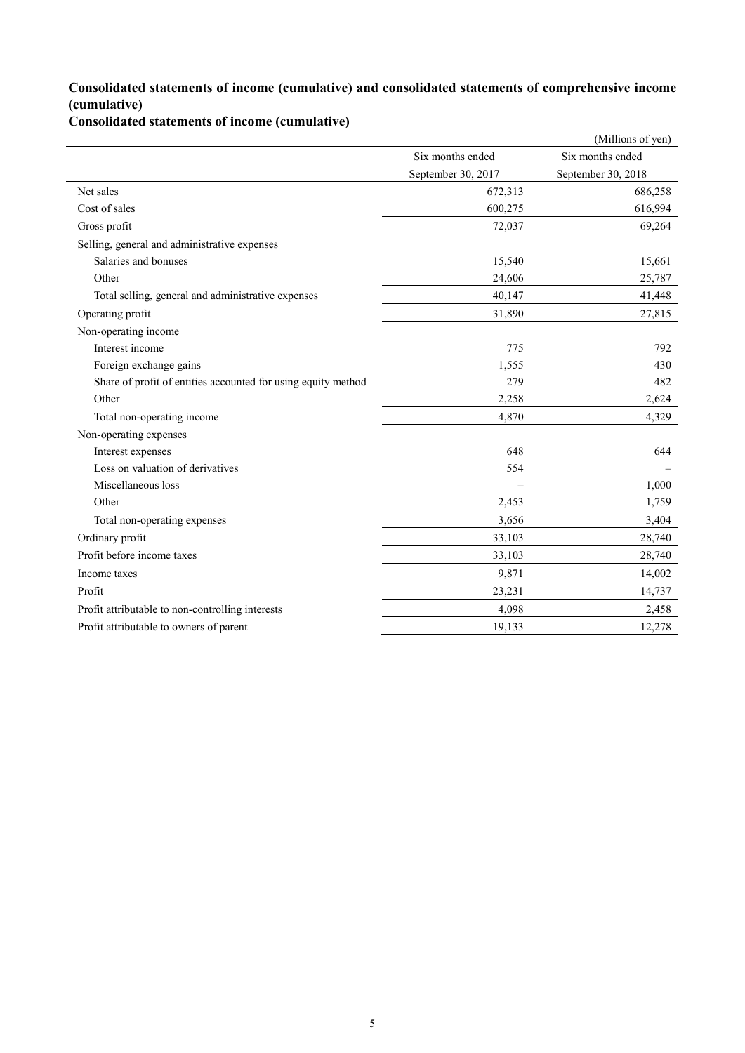### **Consolidated statements of income (cumulative) and consolidated statements of comprehensive income (cumulative)**

**Consolidated statements of income (cumulative)**

|                                                               |                    | (Millions of yen)  |
|---------------------------------------------------------------|--------------------|--------------------|
|                                                               | Six months ended   | Six months ended   |
|                                                               | September 30, 2017 | September 30, 2018 |
| Net sales                                                     | 672,313            | 686,258            |
| Cost of sales                                                 | 600,275            | 616,994            |
| Gross profit                                                  | 72,037             | 69,264             |
| Selling, general and administrative expenses                  |                    |                    |
| Salaries and bonuses                                          | 15,540             | 15,661             |
| Other                                                         | 24,606             | 25,787             |
| Total selling, general and administrative expenses            | 40,147             | 41,448             |
| Operating profit                                              | 31,890             | 27,815             |
| Non-operating income                                          |                    |                    |
| Interest income                                               | 775                | 792                |
| Foreign exchange gains                                        | 1,555              | 430                |
| Share of profit of entities accounted for using equity method | 279                | 482                |
| Other                                                         | 2,258              | 2,624              |
| Total non-operating income                                    | 4,870              | 4,329              |
| Non-operating expenses                                        |                    |                    |
| Interest expenses                                             | 648                | 644                |
| Loss on valuation of derivatives                              | 554                |                    |
| Miscellaneous loss                                            |                    | 1,000              |
| Other                                                         | 2,453              | 1,759              |
| Total non-operating expenses                                  | 3,656              | 3,404              |
| Ordinary profit                                               | 33,103             | 28,740             |
| Profit before income taxes                                    | 33,103             | 28,740             |
| Income taxes                                                  | 9,871              | 14,002             |
| Profit                                                        | 23,231             | 14,737             |
| Profit attributable to non-controlling interests              | 4,098              | 2,458              |
| Profit attributable to owners of parent                       | 19,133             | 12,278             |
|                                                               |                    |                    |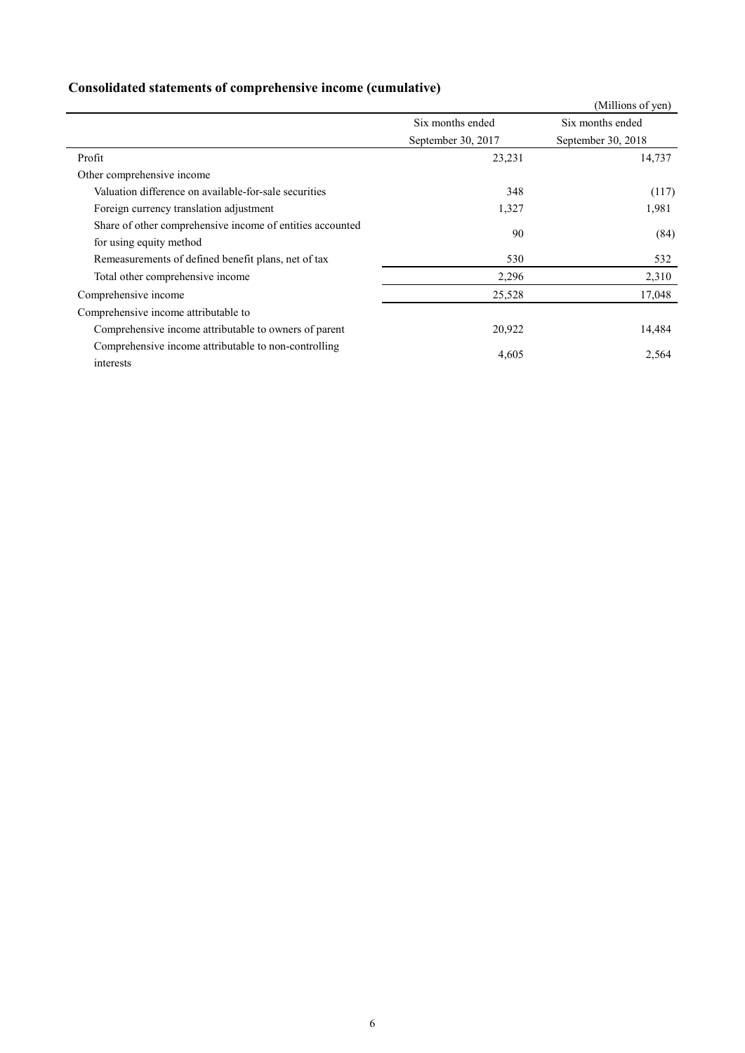### **Consolidated statements of comprehensive income (cumulative)**

|                                                           |                    | (Millions of yen)  |
|-----------------------------------------------------------|--------------------|--------------------|
|                                                           | Six months ended   | Six months ended   |
|                                                           | September 30, 2017 | September 30, 2018 |
| Profit                                                    | 23,231             | 14,737             |
| Other comprehensive income                                |                    |                    |
| Valuation difference on available-for-sale securities     | 348                | (117)              |
| Foreign currency translation adjustment                   | 1,327              | 1,981              |
| Share of other comprehensive income of entities accounted | 90                 | (84)               |
| for using equity method                                   |                    |                    |
| Remeasurements of defined benefit plans, net of tax       | 530                | 532                |
| Total other comprehensive income                          | 2,296              | 2,310              |
| Comprehensive income                                      | 25,528             | 17,048             |
| Comprehensive income attributable to                      |                    |                    |
| Comprehensive income attributable to owners of parent     | 20,922             | 14,484             |
| Comprehensive income attributable to non-controlling      | 4,605              | 2,564              |
| interests                                                 |                    |                    |